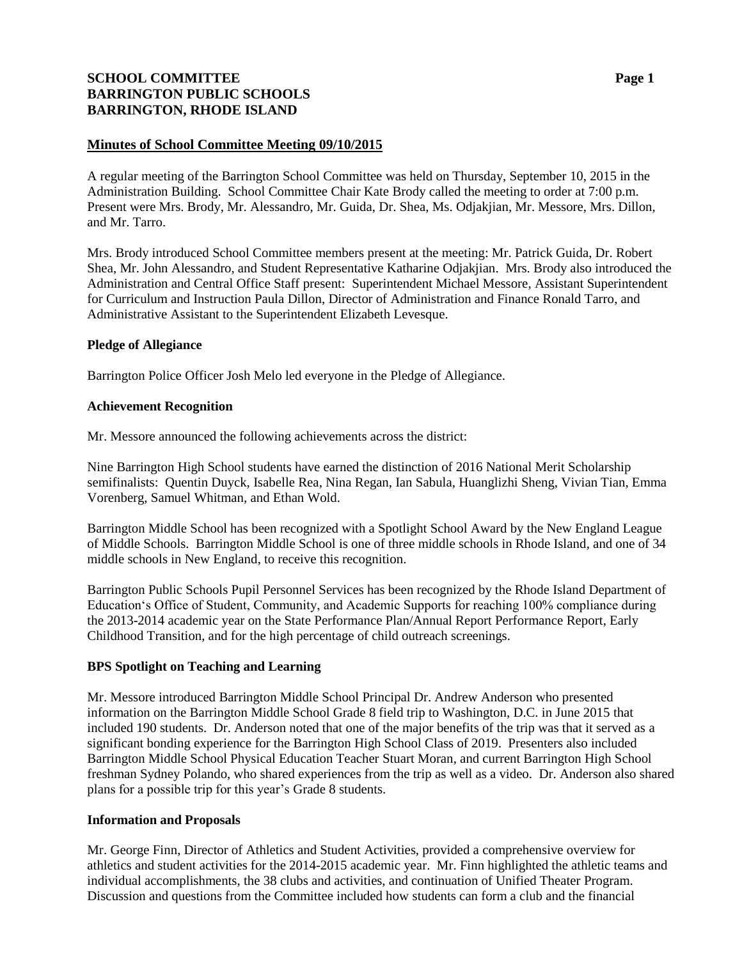# **SCHOOL COMMITTEE Page 1 BARRINGTON PUBLIC SCHOOLS BARRINGTON, RHODE ISLAND**

## **Minutes of School Committee Meeting 09/10/2015**

A regular meeting of the Barrington School Committee was held on Thursday, September 10, 2015 in the Administration Building. School Committee Chair Kate Brody called the meeting to order at 7:00 p.m. Present were Mrs. Brody, Mr. Alessandro, Mr. Guida, Dr. Shea, Ms. Odjakjian, Mr. Messore, Mrs. Dillon, and Mr. Tarro.

Mrs. Brody introduced School Committee members present at the meeting: Mr. Patrick Guida, Dr. Robert Shea, Mr. John Alessandro, and Student Representative Katharine Odjakjian. Mrs. Brody also introduced the Administration and Central Office Staff present: Superintendent Michael Messore, Assistant Superintendent for Curriculum and Instruction Paula Dillon, Director of Administration and Finance Ronald Tarro, and Administrative Assistant to the Superintendent Elizabeth Levesque.

## **Pledge of Allegiance**

Barrington Police Officer Josh Melo led everyone in the Pledge of Allegiance.

### **Achievement Recognition**

Mr. Messore announced the following achievements across the district:

Nine Barrington High School students have earned the distinction of 2016 National Merit Scholarship semifinalists: Quentin Duyck, Isabelle Rea, Nina Regan, Ian Sabula, Huanglizhi Sheng, Vivian Tian, Emma Vorenberg, Samuel Whitman, and Ethan Wold.

Barrington Middle School has been recognized with a Spotlight School Award by the New England League of Middle Schools. Barrington Middle School is one of three middle schools in Rhode Island, and one of 34 middle schools in New England, to receive this recognition.

Barrington Public Schools Pupil Personnel Services has been recognized by the Rhode Island Department of Education's Office of Student, Community, and Academic Supports for reaching 100% compliance during the 2013-2014 academic year on the State Performance Plan/Annual Report Performance Report, Early Childhood Transition, and for the high percentage of child outreach screenings.

## **BPS Spotlight on Teaching and Learning**

Mr. Messore introduced Barrington Middle School Principal Dr. Andrew Anderson who presented information on the Barrington Middle School Grade 8 field trip to Washington, D.C. in June 2015 that included 190 students. Dr. Anderson noted that one of the major benefits of the trip was that it served as a significant bonding experience for the Barrington High School Class of 2019. Presenters also included Barrington Middle School Physical Education Teacher Stuart Moran, and current Barrington High School freshman Sydney Polando, who shared experiences from the trip as well as a video. Dr. Anderson also shared plans for a possible trip for this year's Grade 8 students.

## **Information and Proposals**

Mr. George Finn, Director of Athletics and Student Activities, provided a comprehensive overview for athletics and student activities for the 2014-2015 academic year. Mr. Finn highlighted the athletic teams and individual accomplishments, the 38 clubs and activities, and continuation of Unified Theater Program. Discussion and questions from the Committee included how students can form a club and the financial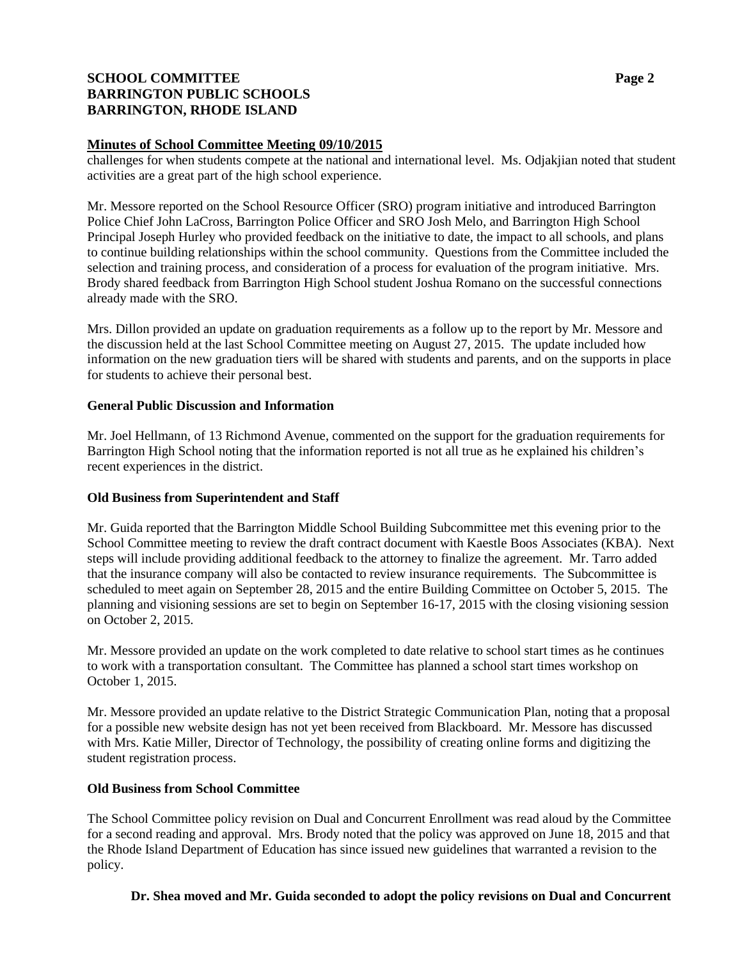# **SCHOOL COMMITTEE Page 2 BARRINGTON PUBLIC SCHOOLS BARRINGTON, RHODE ISLAND**

## **Minutes of School Committee Meeting 09/10/2015**

challenges for when students compete at the national and international level. Ms. Odjakjian noted that student activities are a great part of the high school experience.

Mr. Messore reported on the School Resource Officer (SRO) program initiative and introduced Barrington Police Chief John LaCross, Barrington Police Officer and SRO Josh Melo, and Barrington High School Principal Joseph Hurley who provided feedback on the initiative to date, the impact to all schools, and plans to continue building relationships within the school community. Questions from the Committee included the selection and training process, and consideration of a process for evaluation of the program initiative. Mrs. Brody shared feedback from Barrington High School student Joshua Romano on the successful connections already made with the SRO.

Mrs. Dillon provided an update on graduation requirements as a follow up to the report by Mr. Messore and the discussion held at the last School Committee meeting on August 27, 2015. The update included how information on the new graduation tiers will be shared with students and parents, and on the supports in place for students to achieve their personal best.

## **General Public Discussion and Information**

Mr. Joel Hellmann, of 13 Richmond Avenue, commented on the support for the graduation requirements for Barrington High School noting that the information reported is not all true as he explained his children's recent experiences in the district.

## **Old Business from Superintendent and Staff**

Mr. Guida reported that the Barrington Middle School Building Subcommittee met this evening prior to the School Committee meeting to review the draft contract document with Kaestle Boos Associates (KBA). Next steps will include providing additional feedback to the attorney to finalize the agreement. Mr. Tarro added that the insurance company will also be contacted to review insurance requirements. The Subcommittee is scheduled to meet again on September 28, 2015 and the entire Building Committee on October 5, 2015. The planning and visioning sessions are set to begin on September 16-17, 2015 with the closing visioning session on October 2, 2015.

Mr. Messore provided an update on the work completed to date relative to school start times as he continues to work with a transportation consultant. The Committee has planned a school start times workshop on October 1, 2015.

Mr. Messore provided an update relative to the District Strategic Communication Plan, noting that a proposal for a possible new website design has not yet been received from Blackboard. Mr. Messore has discussed with Mrs. Katie Miller, Director of Technology, the possibility of creating online forms and digitizing the student registration process.

# **Old Business from School Committee**

The School Committee policy revision on Dual and Concurrent Enrollment was read aloud by the Committee for a second reading and approval. Mrs. Brody noted that the policy was approved on June 18, 2015 and that the Rhode Island Department of Education has since issued new guidelines that warranted a revision to the policy.

# **Dr. Shea moved and Mr. Guida seconded to adopt the policy revisions on Dual and Concurrent**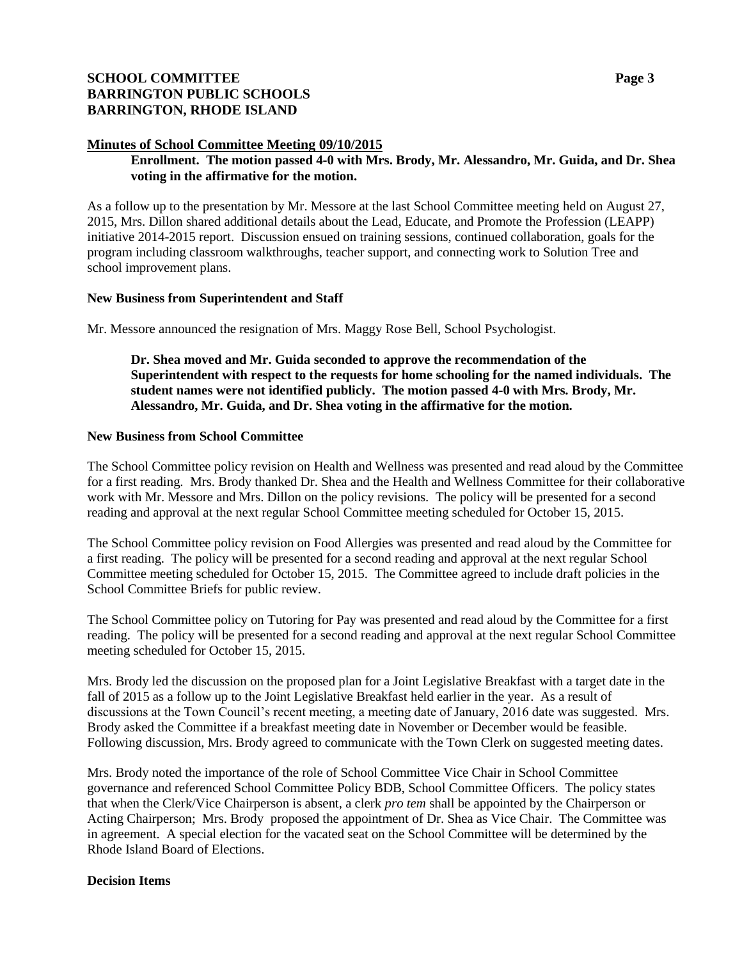# **SCHOOL COMMITTEE Page 3 BARRINGTON PUBLIC SCHOOLS BARRINGTON, RHODE ISLAND**

### **Minutes of School Committee Meeting 09/10/2015**

## **Enrollment. The motion passed 4-0 with Mrs. Brody, Mr. Alessandro, Mr. Guida, and Dr. Shea voting in the affirmative for the motion.**

As a follow up to the presentation by Mr. Messore at the last School Committee meeting held on August 27, 2015, Mrs. Dillon shared additional details about the Lead, Educate, and Promote the Profession (LEAPP) initiative 2014-2015 report. Discussion ensued on training sessions, continued collaboration, goals for the program including classroom walkthroughs, teacher support, and connecting work to Solution Tree and school improvement plans.

### **New Business from Superintendent and Staff**

Mr. Messore announced the resignation of Mrs. Maggy Rose Bell, School Psychologist.

**Dr. Shea moved and Mr. Guida seconded to approve the recommendation of the Superintendent with respect to the requests for home schooling for the named individuals. The student names were not identified publicly. The motion passed 4-0 with Mrs. Brody, Mr. Alessandro, Mr. Guida, and Dr. Shea voting in the affirmative for the motion.**

### **New Business from School Committee**

The School Committee policy revision on Health and Wellness was presented and read aloud by the Committee for a first reading. Mrs. Brody thanked Dr. Shea and the Health and Wellness Committee for their collaborative work with Mr. Messore and Mrs. Dillon on the policy revisions. The policy will be presented for a second reading and approval at the next regular School Committee meeting scheduled for October 15, 2015.

The School Committee policy revision on Food Allergies was presented and read aloud by the Committee for a first reading. The policy will be presented for a second reading and approval at the next regular School Committee meeting scheduled for October 15, 2015. The Committee agreed to include draft policies in the School Committee Briefs for public review.

The School Committee policy on Tutoring for Pay was presented and read aloud by the Committee for a first reading. The policy will be presented for a second reading and approval at the next regular School Committee meeting scheduled for October 15, 2015.

Mrs. Brody led the discussion on the proposed plan for a Joint Legislative Breakfast with a target date in the fall of 2015 as a follow up to the Joint Legislative Breakfast held earlier in the year. As a result of discussions at the Town Council's recent meeting, a meeting date of January, 2016 date was suggested. Mrs. Brody asked the Committee if a breakfast meeting date in November or December would be feasible. Following discussion, Mrs. Brody agreed to communicate with the Town Clerk on suggested meeting dates.

Mrs. Brody noted the importance of the role of School Committee Vice Chair in School Committee governance and referenced School Committee Policy BDB, School Committee Officers. The policy states that when the Clerk/Vice Chairperson is absent, a clerk *pro tem* shall be appointed by the Chairperson or Acting Chairperson; Mrs. Brody proposed the appointment of Dr. Shea as Vice Chair. The Committee was in agreement. A special election for the vacated seat on the School Committee will be determined by the Rhode Island Board of Elections.

## **Decision Items**